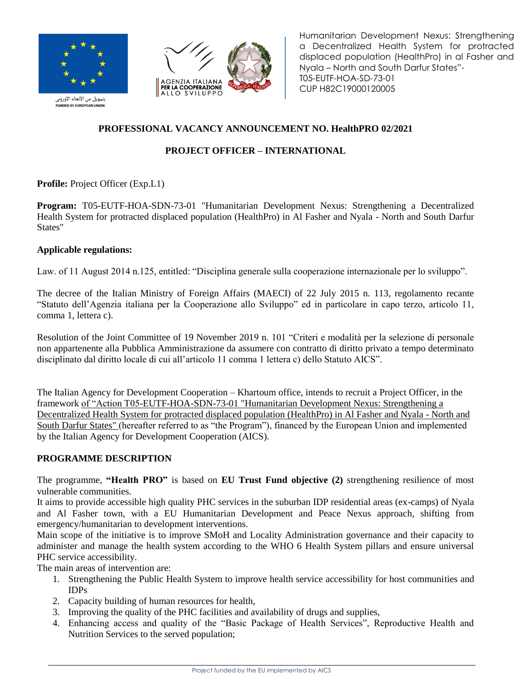



Humanitarian Development Nexus: Strengthening a Decentralized Health System for protracted displaced population (HealthPro) in al Fasher and Nyala – North and South Darfur States"- T05-EUTF-HOA-SD-73-01 CUP H82C19000120005

.<br>بتمويل من الاتحاد الأوروبي **NDED BY EUROPEAN UNION** 

## **PROFESSIONAL VACANCY ANNOUNCEMENT NO. HealthPRO 02/2021**

# **PROJECT OFFICER – INTERNATIONAL**

**Profile:** Project Officer (Exp.L1)

**Program:** T05-EUTF-HOA-SDN-73-01 "Humanitarian Development Nexus: Strengthening a Decentralized Health System for protracted displaced population (HealthPro) in Al Fasher and Nyala - North and South Darfur States"

### **Applicable regulations:**

Law. of 11 August 2014 n.125, entitled: "Disciplina generale sulla cooperazione internazionale per lo sviluppo".

The decree of the Italian Ministry of Foreign Affairs (MAECI) of 22 July 2015 n. 113, regolamento recante "Statuto dell'Agenzia italiana per la Cooperazione allo Sviluppo" ed in particolare in capo terzo, articolo 11, comma 1, lettera c).

Resolution of the Joint Committee of 19 November 2019 n. 101 "Criteri e modalità per la selezione di personale non appartenente alla Pubblica Amministrazione da assumere con contratto di diritto privato a tempo determinato disciplinato dal diritto locale di cui all'articolo 11 comma 1 lettera c) dello Statuto AICS".

The Italian Agency for Development Cooperation – Khartoum office, intends to recruit a Project Officer, in the framework of "Action T05-EUTF-HOA-SDN-73-01 "Humanitarian Development Nexus: Strengthening a Decentralized Health System for protracted displaced population (HealthPro) in Al Fasher and Nyala - North and South Darfur States" (hereafter referred to as "the Program"), financed by the European Union and implemented by the Italian Agency for Development Cooperation (AICS).

## **PROGRAMME DESCRIPTION**

The programme, **"Health PRO"** is based on **EU Trust Fund objective (2)** strengthening resilience of most vulnerable communities.

It aims to provide accessible high quality PHC services in the suburban IDP residential areas (ex-camps) of Nyala and Al Fasher town, with a EU Humanitarian Development and Peace Nexus approach, shifting from emergency/humanitarian to development interventions.

Main scope of the initiative is to improve SMoH and Locality Administration governance and their capacity to administer and manage the health system according to the WHO 6 Health System pillars and ensure universal PHC service accessibility.

The main areas of intervention are:

- 1. Strengthening the Public Health System to improve health service accessibility for host communities and IDPs
- 2. Capacity building of human resources for health,
- 3. Improving the quality of the PHC facilities and availability of drugs and supplies,
- 4. Enhancing access and quality of the "Basic Package of Health Services", Reproductive Health and Nutrition Services to the served population;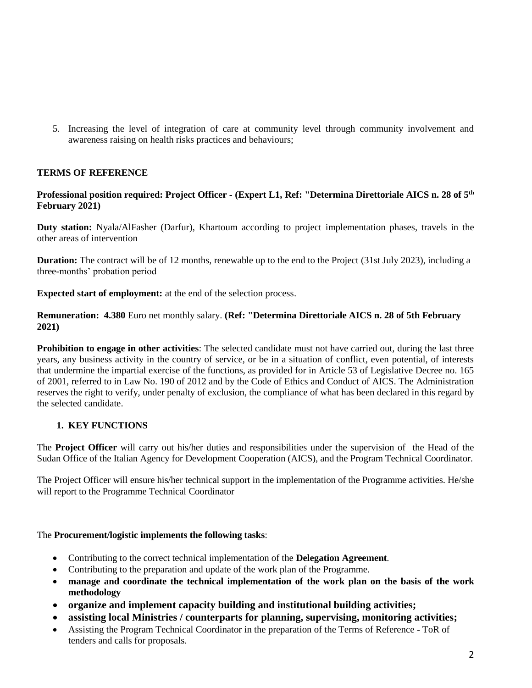5. Increasing the level of integration of care at community level through community involvement and awareness raising on health risks practices and behaviours;

### **TERMS OF REFERENCE**

#### **Professional position required: Project Officer - (Expert L1, Ref: "Determina Direttoriale AICS n. 28 of 5th February 2021)**

**Duty station:** Nyala/AlFasher (Darfur), Khartoum according to project implementation phases, travels in the other areas of intervention

**Duration:** The contract will be of 12 months, renewable up to the end to the Project (31st July 2023), including a three-months' probation period

**Expected start of employment:** at the end of the selection process.

**Remuneration: 4.380** Euro net monthly salary. **(Ref: "Determina Direttoriale AICS n. 28 of 5th February 2021)**

**Prohibition to engage in other activities**: The selected candidate must not have carried out, during the last three years, any business activity in the country of service, or be in a situation of conflict, even potential, of interests that undermine the impartial exercise of the functions, as provided for in Article 53 of Legislative Decree no. 165 of 2001, referred to in Law No. 190 of 2012 and by the Code of Ethics and Conduct of AICS. The Administration reserves the right to verify, under penalty of exclusion, the compliance of what has been declared in this regard by the selected candidate.

### **1. KEY FUNCTIONS**

The **Project Officer** will carry out his/her duties and responsibilities under the supervision of the Head of the Sudan Office of the Italian Agency for Development Cooperation (AICS), and the Program Technical Coordinator.

The Project Officer will ensure his/her technical support in the implementation of the Programme activities. He/she will report to the Programme Technical Coordinator

#### The **Procurement/logistic implements the following tasks**:

- Contributing to the correct technical implementation of the **Delegation Agreement***.*
- Contributing to the preparation and update of the work plan of the Programme.
- **manage and coordinate the technical implementation of the work plan on the basis of the work methodology**
- **organize and implement capacity building and institutional building activities;**
- **assisting local Ministries / counterparts for planning, supervising, monitoring activities;**
- Assisting the Program Technical Coordinator in the preparation of the Terms of Reference ToR of tenders and calls for proposals.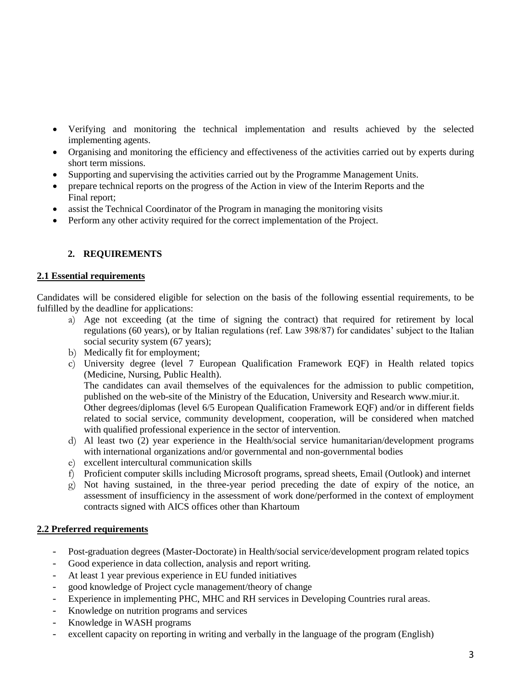- Verifying and monitoring the technical implementation and results achieved by the selected implementing agents.
- Organising and monitoring the efficiency and effectiveness of the activities carried out by experts during short term missions.
- Supporting and supervising the activities carried out by the Programme Management Units.
- prepare technical reports on the progress of the Action in view of the Interim Reports and the Final report;
- assist the Technical Coordinator of the Program in managing the monitoring visits
- Perform any other activity required for the correct implementation of the Project.

## **2. REQUIREMENTS**

### **2.1 Essential requirements**

Candidates will be considered eligible for selection on the basis of the following essential requirements, to be fulfilled by the deadline for applications:

- a) Age not exceeding (at the time of signing the contract) that required for retirement by local regulations (60 years), or by Italian regulations (ref. Law 398/87) for candidates' subject to the Italian social security system (67 years);
- b) Medically fit for employment;
- c) University degree (level 7 European Qualification Framework EQF) in Health related topics (Medicine, Nursing, Public Health).

The candidates can avail themselves of the equivalences for the admission to public competition, published on the web-site of the Ministry of the Education, University and Research [www.miur.it.](http://www.miur.it/) Other degrees/diplomas (level 6/5 European Qualification Framework EQF) and/or in different fields related to social service, community development, cooperation, will be considered when matched with qualified professional experience in the sector of intervention.

- d) Al least two (2) year experience in the Health/social service humanitarian/development programs with international organizations and/or governmental and non-governmental bodies
- e) excellent intercultural communication skills
- f) Proficient computer skills including Microsoft programs, spread sheets, Email (Outlook) and internet
- g) Not having sustained, in the three-year period preceding the date of expiry of the notice, an assessment of insufficiency in the assessment of work done/performed in the context of employment contracts signed with AICS offices other than Khartoum

### **2.2 Preferred requirements**

- *-* Post-graduation degrees (Master-Doctorate) in Health/social service/development program related topics
- *-* Good experience in data collection, analysis and report writing.
- *-* At least 1 year previous experience in EU funded initiatives
- *-* good knowledge of Project cycle management/theory of change
- *-* Experience in implementing PHC, MHC and RH services in Developing Countries rural areas.
- *-* Knowledge on nutrition programs and services
- *-* Knowledge in WASH programs
- *-* excellent capacity on reporting in writing and verbally in the language of the program (English)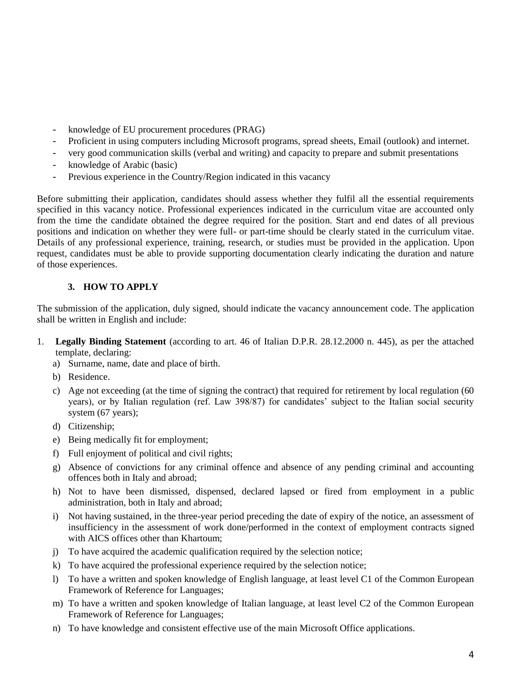- *-* knowledge of EU procurement procedures (PRAG)
- *-* Proficient in using computers including Microsoft programs, spread sheets, Email (outlook) and internet.
- *-* very good communication skills (verbal and writing) and capacity to prepare and submit presentations
- *-* knowledge of Arabic (basic)
- *-* Previous experience in the Country/Region indicated in this vacancy

Before submitting their application, candidates should assess whether they fulfil all the essential requirements specified in this vacancy notice. Professional experiences indicated in the curriculum vitae are accounted only from the time the candidate obtained the degree required for the position. Start and end dates of all previous positions and indication on whether they were full- or part-time should be clearly stated in the curriculum vitae. Details of any professional experience, training, research, or studies must be provided in the application. Upon request, candidates must be able to provide supporting documentation clearly indicating the duration and nature of those experiences.

### **3. HOW TO APPLY**

The submission of the application, duly signed, should indicate the vacancy announcement code. The application shall be written in English and include:

- 1. **Legally Binding Statement** (according to art. 46 of Italian D.P.R. 28.12.2000 n. 445), as per the attached template, declaring:
	- a) Surname, name, date and place of birth.
	- b) Residence.
	- c) Age not exceeding (at the time of signing the contract) that required for retirement by local regulation (60 years), or by Italian regulation (ref. Law 398/87) for candidates' subject to the Italian social security system (67 years);
	- d) Citizenship;
	- e) Being medically fit for employment;
	- f) Full enjoyment of political and civil rights;
	- g) Absence of convictions for any criminal offence and absence of any pending criminal and accounting offences both in Italy and abroad;
	- h) Not to have been dismissed, dispensed, declared lapsed or fired from employment in a public administration, both in Italy and abroad;
	- i) Not having sustained, in the three-year period preceding the date of expiry of the notice, an assessment of insufficiency in the assessment of work done/performed in the context of employment contracts signed with AICS offices other than Khartoum;
	- j) To have acquired the academic qualification required by the selection notice;
	- k) To have acquired the professional experience required by the selection notice;
	- l) To have a written and spoken knowledge of English language, at least level C1 of the Common European Framework of Reference for Languages;
	- m) To have a written and spoken knowledge of Italian language, at least level C2 of the Common European Framework of Reference for Languages;
	- n) To have knowledge and consistent effective use of the main Microsoft Office applications.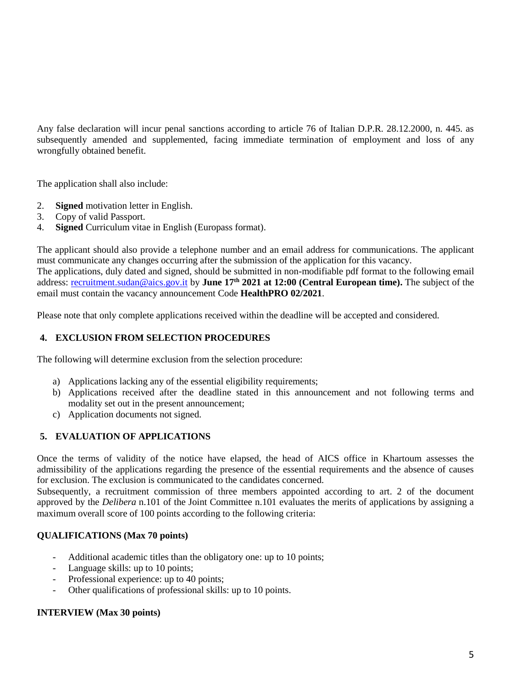Any false declaration will incur penal sanctions according to article 76 of Italian D.P.R. 28.12.2000, n. 445. as subsequently amended and supplemented, facing immediate termination of employment and loss of any wrongfully obtained benefit.

The application shall also include:

- 2. **Signed** motivation letter in English.
- 3. Copy of valid Passport.
- 4. **Signed** Curriculum vitae in English (Europass format).

The applicant should also provide a telephone number and an email address for communications. The applicant must communicate any changes occurring after the submission of the application for this vacancy. The applications, duly dated and signed, should be submitted in non-modifiable pdf format to the following email address: [recruitment.sudan@aics.gov.it](mailto:recruitment.sudan@aics.gov.it) by **June 17th 2021 at 12:00 (Central European time).** The subject of the email must contain the vacancy announcement Code **HealthPRO 02/2021**.

Please note that only complete applications received within the deadline will be accepted and considered.

### **4. EXCLUSION FROM SELECTION PROCEDURES**

The following will determine exclusion from the selection procedure:

- a) Applications lacking any of the essential eligibility requirements;
- b) Applications received after the deadline stated in this announcement and not following terms and modality set out in the present announcement;
- c) Application documents not signed.

#### **5. EVALUATION OF APPLICATIONS**

Once the terms of validity of the notice have elapsed, the head of AICS office in Khartoum assesses the admissibility of the applications regarding the presence of the essential requirements and the absence of causes for exclusion. The exclusion is communicated to the candidates concerned.

Subsequently, a recruitment commission of three members appointed according to art. 2 of the document approved by the *Delibera* n.101 of the Joint Committee n.101 evaluates the merits of applications by assigning a maximum overall score of 100 points according to the following criteria:

#### **QUALIFICATIONS (Max 70 points)**

- *-* Additional academic titles than the obligatory one: up to 10 points;
- Language skills: up to 10 points;
- Professional experience: up to 40 points;
- *-* Other qualifications of professional skills: up to 10 points.

#### **INTERVIEW (Max 30 points)**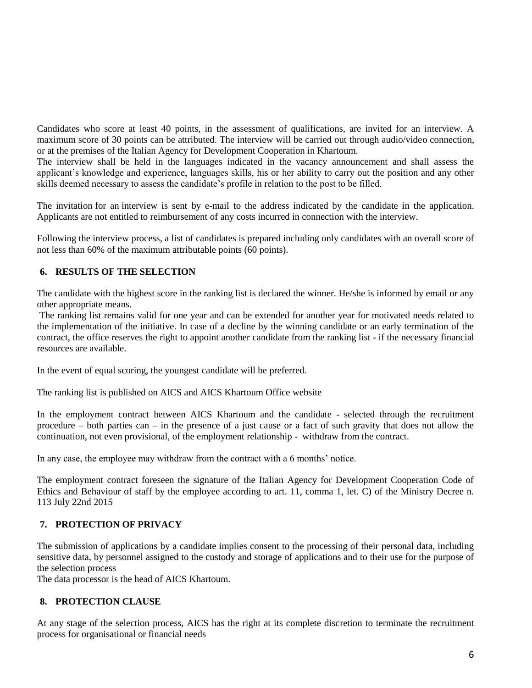Candidates who score at least 40 points, in the assessment of qualifications, are invited for an interview. A maximum score of 30 points can be attributed. The interview will be carried out through audio/video connection, or at the premises of the Italian Agency for Development Cooperation in Khartoum.

The interview shall be held in the languages indicated in the vacancy announcement and shall assess the applicant's knowledge and experience, languages skills, his or her ability to carry out the position and any other skills deemed necessary to assess the candidate's profile in relation to the post to be filled.

The invitation for an interview is sent by e-mail to the address indicated by the candidate in the application. Applicants are not entitled to reimbursement of any costs incurred in connection with the interview.

Following the interview process, a list of candidates is prepared including only candidates with an overall score of not less than 60% of the maximum attributable points (60 points).

### **6. RESULTS OF THE SELECTION**

The candidate with the highest score in the ranking list is declared the winner. He/she is informed by email or any other appropriate means.

The ranking list remains valid for one year and can be extended for another year for motivated needs related to the implementation of the initiative. In case of a decline by the winning candidate or an early termination of the contract, the office reserves the right to appoint another candidate from the ranking list - if the necessary financial resources are available.

In the event of equal scoring, the youngest candidate will be preferred.

The ranking list is published on AICS and AICS Khartoum Office website

In the employment contract between AICS Khartoum and the candidate - selected through the recruitment procedure – both parties can – in the presence of a just cause or a fact of such gravity that does not allow the continuation, not even provisional, of the employment relationship - withdraw from the contract.

In any case, the employee may withdraw from the contract with a 6 months' notice.

The employment contract foreseen the signature of the Italian Agency for Development Cooperation Code of Ethics and Behaviour of staff by the employee according to art. 11, comma 1, let. C) of the Ministry Decree n. 113 July 22nd 2015

#### **7. PROTECTION OF PRIVACY**

The submission of applications by a candidate implies consent to the processing of their personal data, including sensitive data, by personnel assigned to the custody and storage of applications and to their use for the purpose of the selection process

The data processor is the head of AICS Khartoum.

#### **8. PROTECTION CLAUSE**

At any stage of the selection process, AICS has the right at its complete discretion to terminate the recruitment process for organisational or financial needs